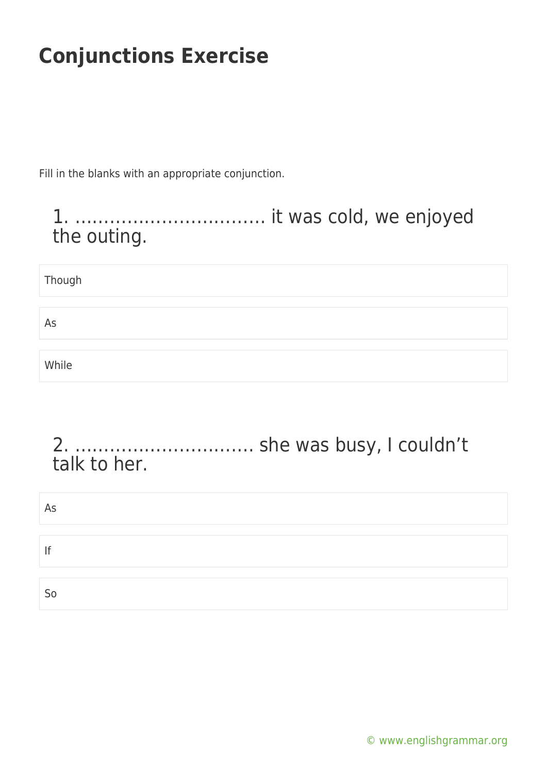Fill in the blanks with an appropriate conjunction.

#### 1. …………………………… it was cold, we enjoyed the outing.

| Though |  |
|--------|--|
|        |  |
| As     |  |
|        |  |
| While  |  |

#### 2. …………………………. she was busy, I couldn't talk to her.

| As |  |  |  |
|----|--|--|--|
|    |  |  |  |
|    |  |  |  |
|    |  |  |  |
| Sc |  |  |  |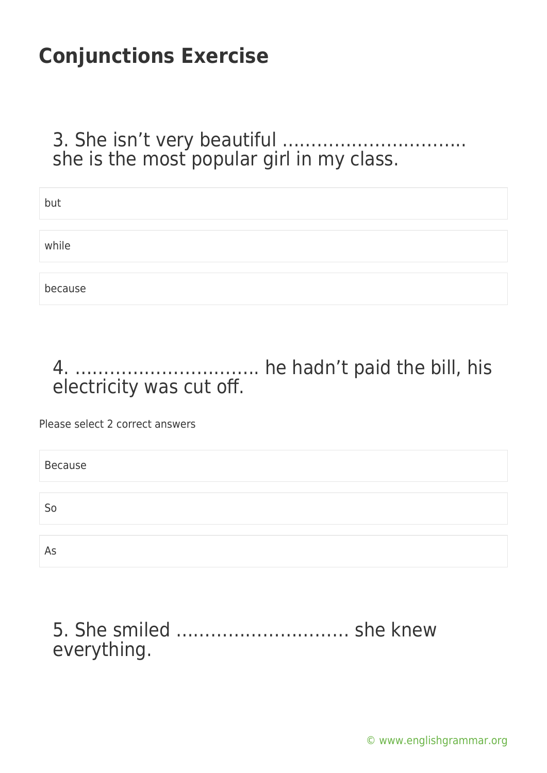#### 3. She isn't very beautiful ………………………….. she is the most popular girl in my class.

| but     |  |
|---------|--|
|         |  |
| while   |  |
|         |  |
| because |  |

### 4. ………………………….. he hadn't paid the bill, his electricity was cut off.

Please select 2 correct answers

| Because        |  |
|----------------|--|
|                |  |
| S <sub>o</sub> |  |
|                |  |
| As             |  |

### 5. She smiled ………………………… she knew everything.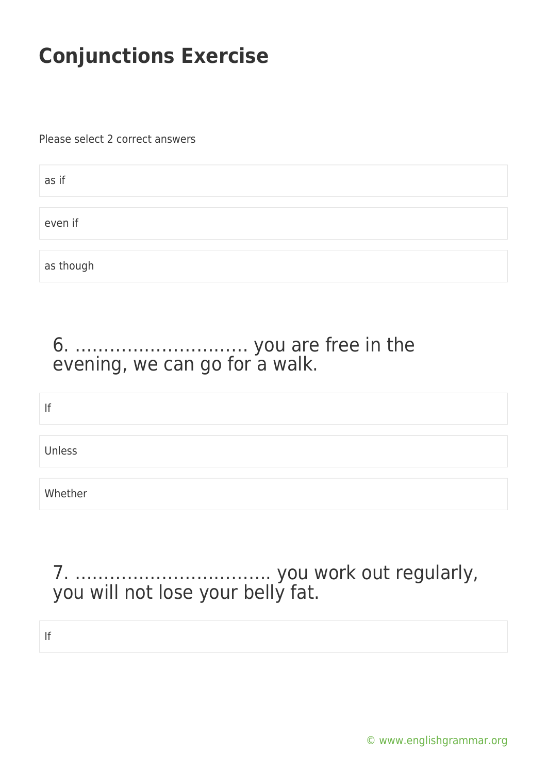Please select 2 correct answers

| as if     |  |
|-----------|--|
| even if   |  |
|           |  |
| as though |  |

### 6. ………………………… you are free in the evening, we can go for a walk.

| If      |  |  |  |
|---------|--|--|--|
|         |  |  |  |
| Unless  |  |  |  |
|         |  |  |  |
| Whether |  |  |  |

### 7. ……………………………. you work out regularly, you will not lose your belly fat.

If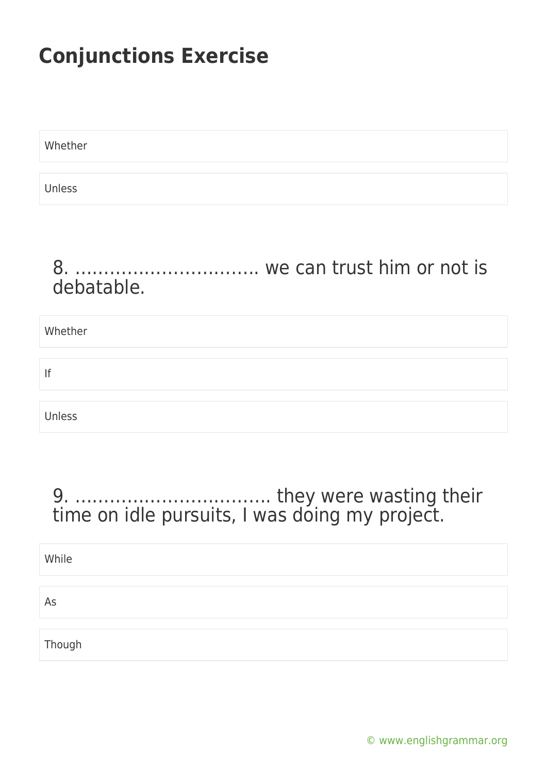Whether Unless

#### 8. ………………………….. we can trust him or not is debatable.

# Whether If Unless

### 9. ……………………………. they were wasting their time on idle pursuits, I was doing my project.

| While  |  |
|--------|--|
|        |  |
| As     |  |
|        |  |
| Though |  |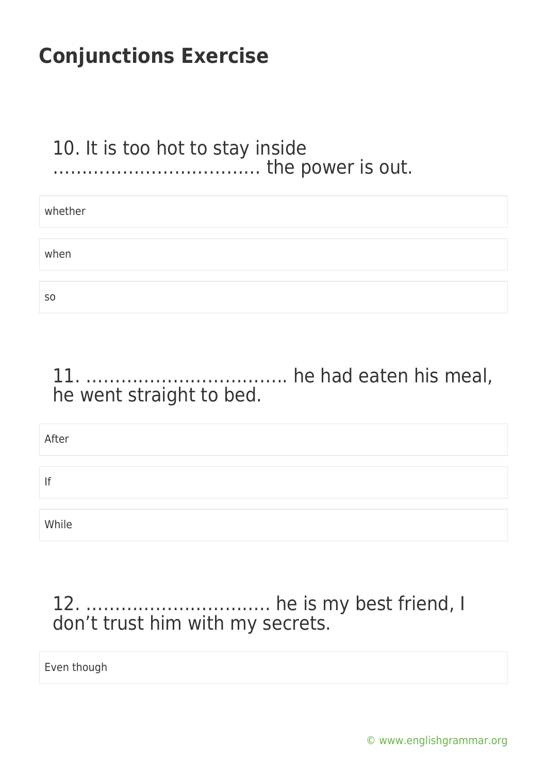### 10. It is too hot to stay inside ……………………………… the power is out.

| whether        |  |
|----------------|--|
|                |  |
| when           |  |
|                |  |
| S <sub>0</sub> |  |

### 11. …………………………….. he had eaten his meal, he went straight to bed.

| After |  |
|-------|--|
|       |  |
| f     |  |
|       |  |
| While |  |

### 12. ………………………….. he is my best friend, I don't trust him with my secrets.

Even though